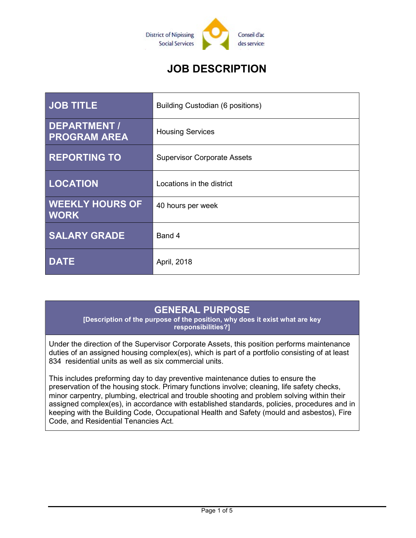

# JOB DESCRIPTION

| <b>JOB TITLE</b>                           | <b>Building Custodian (6 positions)</b> |
|--------------------------------------------|-----------------------------------------|
| <b>DEPARTMENT /</b><br><b>PROGRAM AREA</b> | <b>Housing Services</b>                 |
| <b>REPORTING TO</b>                        | <b>Supervisor Corporate Assets</b>      |
| <b>LOCATION</b>                            | Locations in the district               |
| <b>WEEKLY HOURS OF</b><br><b>WORK</b>      | 40 hours per week                       |
| <b>SALARY GRADE</b>                        | Band 4                                  |
| <b>DATE</b>                                | April, 2018                             |

## GENERAL PURPOSE

[Description of the purpose of the position, why does it exist what are key responsibilities?]

Under the direction of the Supervisor Corporate Assets, this position performs maintenance duties of an assigned housing complex(es), which is part of a portfolio consisting of at least 834 residential units as well as six commercial units.

This includes preforming day to day preventive maintenance duties to ensure the preservation of the housing stock. Primary functions involve; cleaning, life safety checks, minor carpentry, plumbing, electrical and trouble shooting and problem solving within their assigned complex(es), in accordance with established standards, policies, procedures and in keeping with the Building Code, Occupational Health and Safety (mould and asbestos), Fire Code, and Residential Tenancies Act.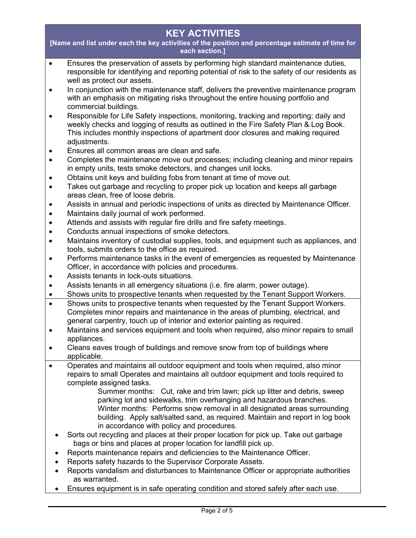## KEY ACTIVITIES

[Name and list under each the key activities of the position and percentage estimate of time for each section.]

- Ensures the preservation of assets by performing high standard maintenance duties, responsible for identifying and reporting potential of risk to the safety of our residents as well as protect our assets.
- In conjunction with the maintenance staff, delivers the preventive maintenance program with an emphasis on mitigating risks throughout the entire housing portfolio and commercial buildings.
- Responsible for Life Safety inspections, monitoring, tracking and reporting; daily and weekly checks and logging of results as outlined in the Fire Safety Plan & Log Book. This includes monthly inspections of apartment door closures and making required adjustments.
- Ensures all common areas are clean and safe.
- Completes the maintenance move out processes; including cleaning and minor repairs in empty units, tests smoke detectors, and changes unit locks.
- Obtains unit keys and building fobs from tenant at time of move out.
- Takes out garbage and recycling to proper pick up location and keeps all garbage areas clean, free of loose debris.
- Assists in annual and periodic inspections of units as directed by Maintenance Officer.
- Maintains daily journal of work performed.
- Attends and assists with regular fire drills and fire safety meetings.
- Conducts annual inspections of smoke detectors.
- Maintains inventory of custodial supplies, tools, and equipment such as appliances, and tools, submits orders to the office as required.
- Performs maintenance tasks in the event of emergencies as requested by Maintenance Officer, in accordance with policies and procedures.
- Assists tenants in lock-outs situations.
- Assists tenants in all emergency situations (i.e. fire alarm, power outage).
- Shows units to prospective tenants when requested by the Tenant Support Workers.
- Shows units to prospective tenants when requested by the Tenant Support Workers. Completes minor repairs and maintenance in the areas of plumbing, electrical, and general carpentry, touch up of interior and exterior painting as required.
- Maintains and services equipment and tools when required, also minor repairs to small appliances.
- Cleans eaves trough of buildings and remove snow from top of buildings where applicable.
- Operates and maintains all outdoor equipment and tools when required, also minor repairs to small Operates and maintains all outdoor equipment and tools required to complete assigned tasks.
	- Summer months: Cut, rake and trim lawn; pick up litter and debris, sweep parking lot and sidewalks, trim overhanging and hazardous branches. Winter months: Performs snow removal in all designated areas surrounding building. Apply salt/salted sand, as required. Maintain and report in log book in accordance with policy and procedures.
	- Sorts out recycling and places at their proper location for pick up. Take out garbage bags or bins and places at proper location for landfill pick up.
	- Reports maintenance repairs and deficiencies to the Maintenance Officer.
	- Reports safety hazards to the Supervisor Corporate Assets.
	- Reports vandalism and disturbances to Maintenance Officer or appropriate authorities as warranted.
	- Ensures equipment is in safe operating condition and stored safely after each use.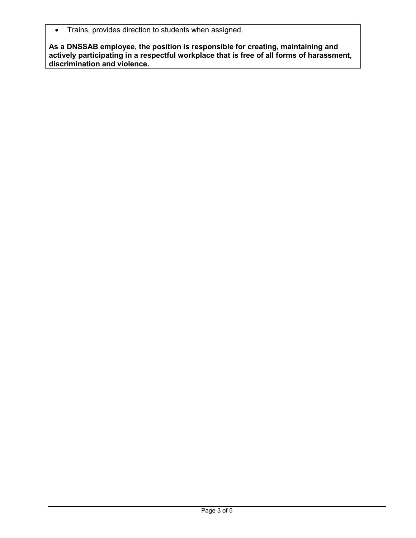• Trains, provides direction to students when assigned.

As a DNSSAB employee, the position is responsible for creating, maintaining and actively participating in a respectful workplace that is free of all forms of harassment, discrimination and violence.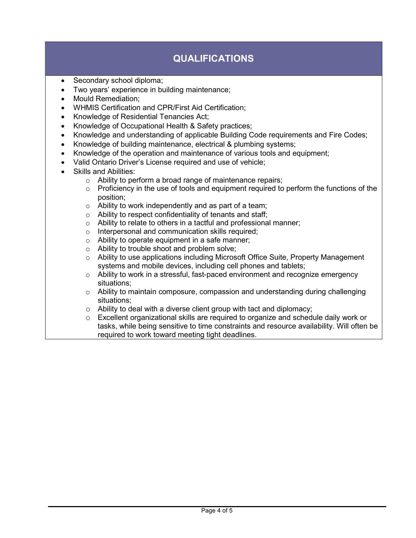# QUALIFICATIONS

- Secondary school diploma;
- Two years' experience in building maintenance;
- Mould Remediation;
- WHMIS Certification and CPR/First Aid Certification;
- Knowledge of Residential Tenancies Act;
- Knowledge of Occupational Health & Safety practices;
- Knowledge and understanding of applicable Building Code requirements and Fire Codes;
- Knowledge of building maintenance, electrical & plumbing systems;
- Knowledge of the operation and maintenance of various tools and equipment;
- Valid Ontario Driver's License required and use of vehicle;
- Skills and Abilities:
	- o Ability to perform a broad range of maintenance repairs;
	- $\circ$  Proficiency in the use of tools and equipment required to perform the functions of the position;
	- $\circ$  Ability to work independently and as part of a team;
	- o Ability to respect confidentiality of tenants and staff;
	- $\circ$  Ability to relate to others in a tactful and professional manner;
	- o Interpersonal and communication skills required;
	- o Ability to operate equipment in a safe manner;
	- o Ability to trouble shoot and problem solve;
	- $\circ$  Ability to use applications including Microsoft Office Suite, Property Management systems and mobile devices, including cell phones and tablets;
	- $\circ$  Ability to work in a stressful, fast-paced environment and recognize emergency situations;
	- $\circ$  Ability to maintain composure, compassion and understanding during challenging situations;
	- $\circ$  Ability to deal with a diverse client group with tact and diplomacy;
	- $\circ$  Excellent organizational skills are required to organize and schedule daily work or tasks, while being sensitive to time constraints and resource availability. Will often be required to work toward meeting tight deadlines.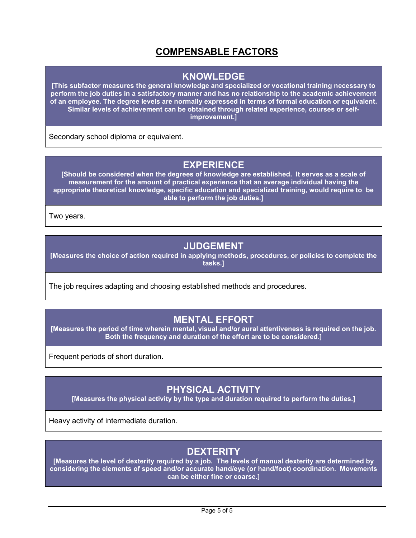## COMPENSABLE FACTORS

#### KNOWLEDGE

[This subfactor measures the general knowledge and specialized or vocational training necessary to perform the job duties in a satisfactory manner and has no relationship to the academic achievement of an employee. The degree levels are normally expressed in terms of formal education or equivalent. Similar levels of achievement can be obtained through related experience, courses or selfimprovement.]

Secondary school diploma or equivalent.

### **EXPERIENCE**

[Should be considered when the degrees of knowledge are established. It serves as a scale of measurement for the amount of practical experience that an average individual having the appropriate theoretical knowledge, specific education and specialized training, would require to be able to perform the job duties.]

Two years.

### JUDGEMENT

[Measures the choice of action required in applying methods, procedures, or policies to complete the tasks.]

The job requires adapting and choosing established methods and procedures.

#### MENTAL EFFORT

[Measures the period of time wherein mental, visual and/or aural attentiveness is required on the job. Both the frequency and duration of the effort are to be considered.]

Frequent periods of short duration.

#### PHYSICAL ACTIVITY

[Measures the physical activity by the type and duration required to perform the duties.]

Heavy activity of intermediate duration.

### **DEXTERITY**

[Measures the level of dexterity required by a job. The levels of manual dexterity are determined by considering the elements of speed and/or accurate hand/eye (or hand/foot) coordination. Movements can be either fine or coarse.]